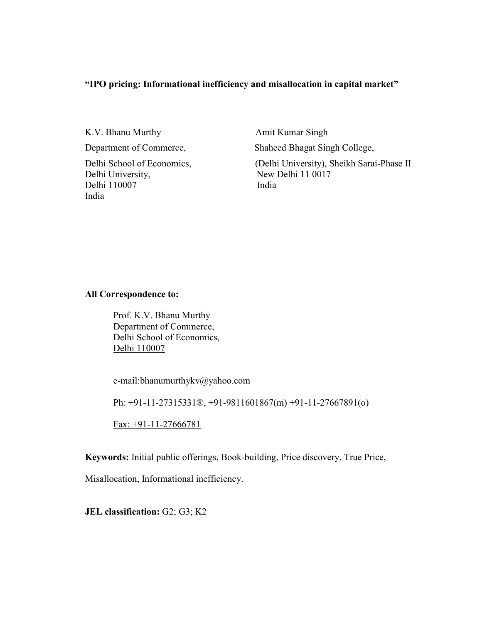# "IPO pricing: Informational inefficiency and misallocation in capital market"

K.V. Bhanu Murthy **Amit Kumar Singh** 

Delhi University, New Delhi 11 0017 Delhi 110007 India India

Department of Commerce, Shaheed Bhagat Singh College,

Delhi School of Economics, (Delhi University), Sheikh Sarai-Phase II

## All Correspondence to:

Prof. K.V. Bhanu Murthy Department of Commerce, Delhi School of Economics, Delhi 110007

e-mail:bhanumurthykv@yahoo.com

Ph: +91-11-27315331®, +91-9811601867(m) +91-11-27667891(o)

Fax: +91-11-27666781

Keywords: Initial public offerings, Book-building, Price discovery, True Price,

Misallocation, Informational inefficiency.

JEL classification: G2; G3; K2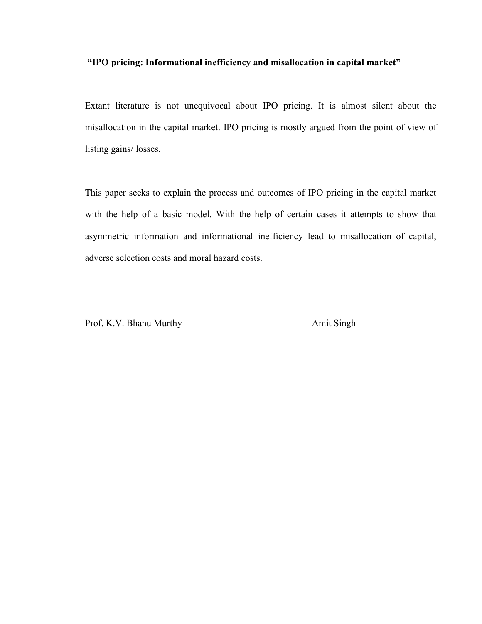# "IPO pricing: Informational inefficiency and misallocation in capital market"

Extant literature is not unequivocal about IPO pricing. It is almost silent about the misallocation in the capital market. IPO pricing is mostly argued from the point of view of listing gains/ losses.

This paper seeks to explain the process and outcomes of IPO pricing in the capital market with the help of a basic model. With the help of certain cases it attempts to show that asymmetric information and informational inefficiency lead to misallocation of capital, adverse selection costs and moral hazard costs.

Prof. K.V. Bhanu Murthy Amit Singh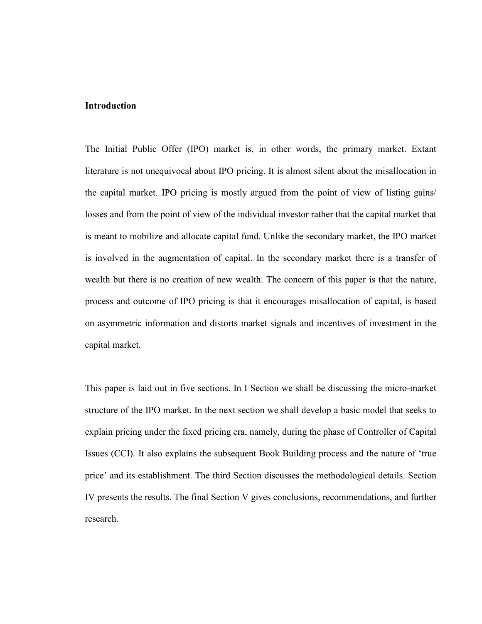# Introduction

The Initial Public Offer (IPO) market is, in other words, the primary market. Extant literature is not unequivocal about IPO pricing. It is almost silent about the misallocation in the capital market. IPO pricing is mostly argued from the point of view of listing gains/ losses and from the point of view of the individual investor rather that the capital market that is meant to mobilize and allocate capital fund. Unlike the secondary market, the IPO market is involved in the augmentation of capital. In the secondary market there is a transfer of wealth but there is no creation of new wealth. The concern of this paper is that the nature, process and outcome of IPO pricing is that it encourages misallocation of capital, is based on asymmetric information and distorts market signals and incentives of investment in the capital market.

This paper is laid out in five sections. In I Section we shall be discussing the micro-market structure of the IPO market. In the next section we shall develop a basic model that seeks to explain pricing under the fixed pricing era, namely, during the phase of Controller of Capital Issues (CCI). It also explains the subsequent Book Building process and the nature of 'true price' and its establishment. The third Section discusses the methodological details. Section IV presents the results. The final Section V gives conclusions, recommendations, and further research.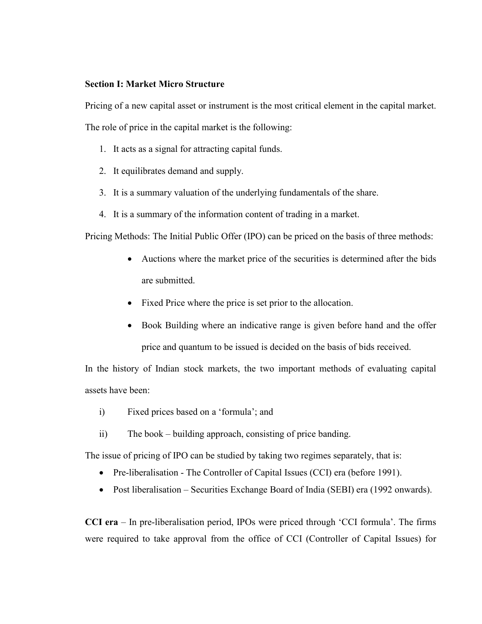## Section I: Market Micro Structure

Pricing of a new capital asset or instrument is the most critical element in the capital market.

The role of price in the capital market is the following:

- 1. It acts as a signal for attracting capital funds.
- 2. It equilibrates demand and supply.
- 3. It is a summary valuation of the underlying fundamentals of the share.
- 4. It is a summary of the information content of trading in a market.

Pricing Methods: The Initial Public Offer (IPO) can be priced on the basis of three methods:

- Auctions where the market price of the securities is determined after the bids are submitted.
- Fixed Price where the price is set prior to the allocation.
- Book Building where an indicative range is given before hand and the offer price and quantum to be issued is decided on the basis of bids received.

In the history of Indian stock markets, the two important methods of evaluating capital assets have been:

- i) Fixed prices based on a 'formula'; and
- ii) The book building approach, consisting of price banding.

The issue of pricing of IPO can be studied by taking two regimes separately, that is:

- Pre-liberalisation The Controller of Capital Issues (CCI) era (before 1991).
- Post liberalisation Securities Exchange Board of India (SEBI) era (1992 onwards).

CCI era – In pre-liberalisation period, IPOs were priced through 'CCI formula'. The firms were required to take approval from the office of CCI (Controller of Capital Issues) for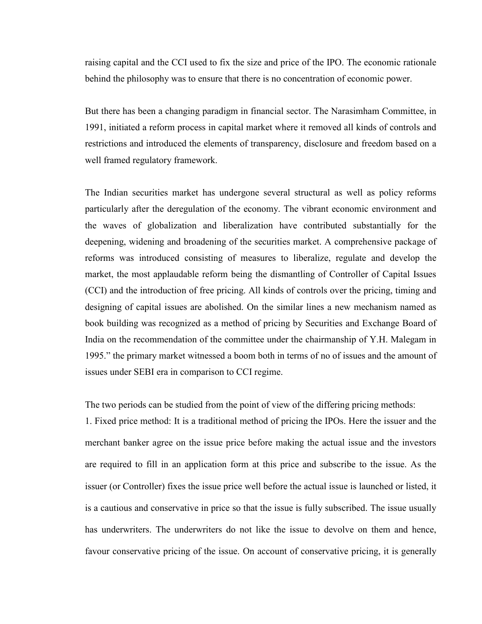raising capital and the CCI used to fix the size and price of the IPO. The economic rationale behind the philosophy was to ensure that there is no concentration of economic power.

But there has been a changing paradigm in financial sector. The Narasimham Committee, in 1991, initiated a reform process in capital market where it removed all kinds of controls and restrictions and introduced the elements of transparency, disclosure and freedom based on a well framed regulatory framework.

The Indian securities market has undergone several structural as well as policy reforms particularly after the deregulation of the economy. The vibrant economic environment and the waves of globalization and liberalization have contributed substantially for the deepening, widening and broadening of the securities market. A comprehensive package of reforms was introduced consisting of measures to liberalize, regulate and develop the market, the most applaudable reform being the dismantling of Controller of Capital Issues (CCI) and the introduction of free pricing. All kinds of controls over the pricing, timing and designing of capital issues are abolished. On the similar lines a new mechanism named as book building was recognized as a method of pricing by Securities and Exchange Board of India on the recommendation of the committee under the chairmanship of Y.H. Malegam in 1995." the primary market witnessed a boom both in terms of no of issues and the amount of issues under SEBI era in comparison to CCI regime.

The two periods can be studied from the point of view of the differing pricing methods:

1. Fixed price method: It is a traditional method of pricing the IPOs. Here the issuer and the merchant banker agree on the issue price before making the actual issue and the investors are required to fill in an application form at this price and subscribe to the issue. As the issuer (or Controller) fixes the issue price well before the actual issue is launched or listed, it is a cautious and conservative in price so that the issue is fully subscribed. The issue usually has underwriters. The underwriters do not like the issue to devolve on them and hence, favour conservative pricing of the issue. On account of conservative pricing, it is generally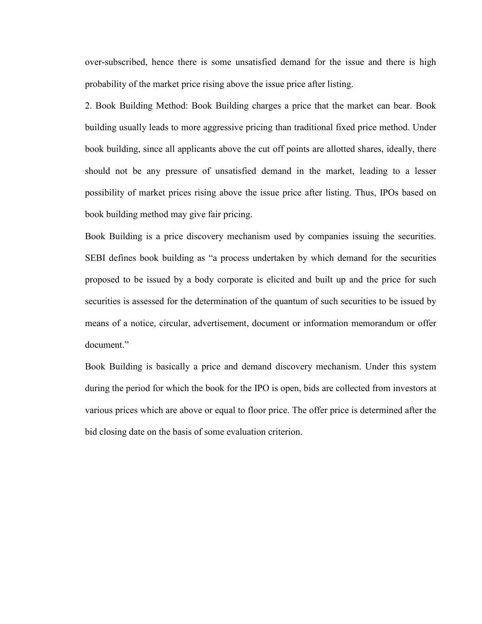over-subscribed, hence there is some unsatisfied demand for the issue and there is high probability of the market price rising above the issue price after listing.

2. Book Building Method: Book Building charges a price that the market can bear. Book building usually leads to more aggressive pricing than traditional fixed price method. Under book building, since all applicants above the cut off points are allotted shares, ideally, there should not be any pressure of unsatisfied demand in the market, leading to a lesser possibility of market prices rising above the issue price after listing. Thus, IPOs based on book building method may give fair pricing.

Book Building is a price discovery mechanism used by companies issuing the securities. SEBI defines book building as "a process undertaken by which demand for the securities proposed to be issued by a body corporate is elicited and built up and the price for such securities is assessed for the determination of the quantum of such securities to be issued by means of a notice, circular, advertisement, document or information memorandum or offer document."

Book Building is basically a price and demand discovery mechanism. Under this system during the period for which the book for the IPO is open, bids are collected from investors at various prices which are above or equal to floor price. The offer price is determined after the bid closing date on the basis of some evaluation criterion.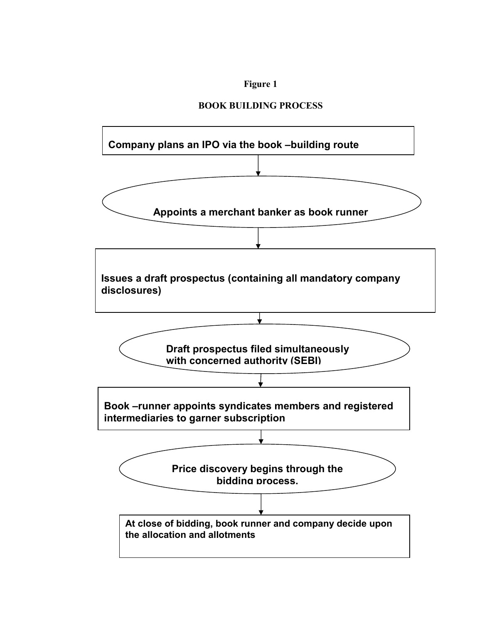# Figure 1

# BOOK BUILDING PROCESS

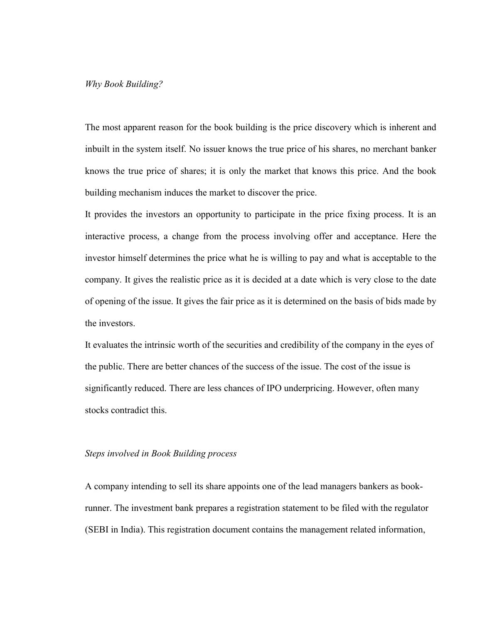## Why Book Building?

The most apparent reason for the book building is the price discovery which is inherent and inbuilt in the system itself. No issuer knows the true price of his shares, no merchant banker knows the true price of shares; it is only the market that knows this price. And the book building mechanism induces the market to discover the price.

It provides the investors an opportunity to participate in the price fixing process. It is an interactive process, a change from the process involving offer and acceptance. Here the investor himself determines the price what he is willing to pay and what is acceptable to the company. It gives the realistic price as it is decided at a date which is very close to the date of opening of the issue. It gives the fair price as it is determined on the basis of bids made by the investors.

It evaluates the intrinsic worth of the securities and credibility of the company in the eyes of the public. There are better chances of the success of the issue. The cost of the issue is significantly reduced. There are less chances of IPO underpricing. However, often many stocks contradict this.

#### Steps involved in Book Building process

A company intending to sell its share appoints one of the lead managers bankers as bookrunner. The investment bank prepares a registration statement to be filed with the regulator (SEBI in India). This registration document contains the management related information,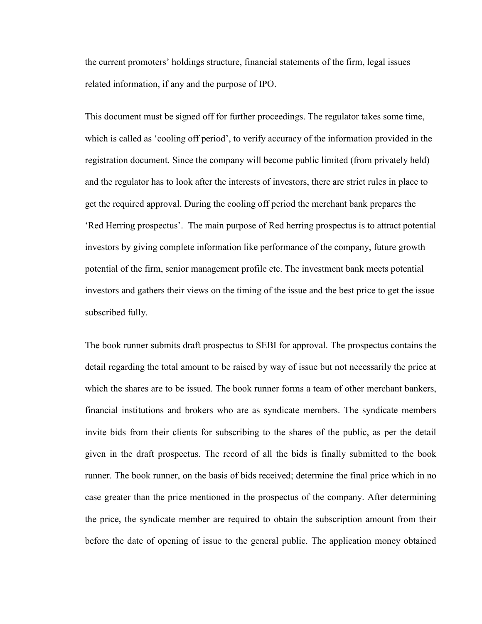the current promoters' holdings structure, financial statements of the firm, legal issues related information, if any and the purpose of IPO.

This document must be signed off for further proceedings. The regulator takes some time, which is called as 'cooling off period', to verify accuracy of the information provided in the registration document. Since the company will become public limited (from privately held) and the regulator has to look after the interests of investors, there are strict rules in place to get the required approval. During the cooling off period the merchant bank prepares the 'Red Herring prospectus'. The main purpose of Red herring prospectus is to attract potential investors by giving complete information like performance of the company, future growth potential of the firm, senior management profile etc. The investment bank meets potential investors and gathers their views on the timing of the issue and the best price to get the issue subscribed fully.

The book runner submits draft prospectus to SEBI for approval. The prospectus contains the detail regarding the total amount to be raised by way of issue but not necessarily the price at which the shares are to be issued. The book runner forms a team of other merchant bankers, financial institutions and brokers who are as syndicate members. The syndicate members invite bids from their clients for subscribing to the shares of the public, as per the detail given in the draft prospectus. The record of all the bids is finally submitted to the book runner. The book runner, on the basis of bids received; determine the final price which in no case greater than the price mentioned in the prospectus of the company. After determining the price, the syndicate member are required to obtain the subscription amount from their before the date of opening of issue to the general public. The application money obtained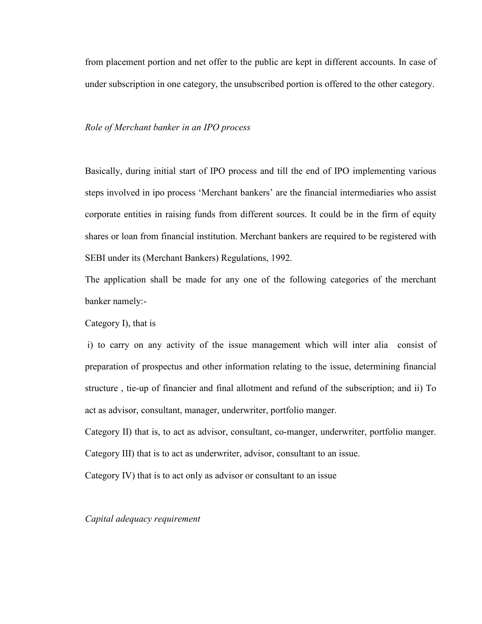from placement portion and net offer to the public are kept in different accounts. In case of under subscription in one category, the unsubscribed portion is offered to the other category.

#### Role of Merchant banker in an IPO process

Basically, during initial start of IPO process and till the end of IPO implementing various steps involved in ipo process 'Merchant bankers' are the financial intermediaries who assist corporate entities in raising funds from different sources. It could be in the firm of equity shares or loan from financial institution. Merchant bankers are required to be registered with SEBI under its (Merchant Bankers) Regulations, 1992.

The application shall be made for any one of the following categories of the merchant banker namely:-

Category I), that is

 i) to carry on any activity of the issue management which will inter alia consist of preparation of prospectus and other information relating to the issue, determining financial structure , tie-up of financier and final allotment and refund of the subscription; and ii) To act as advisor, consultant, manager, underwriter, portfolio manger.

Category II) that is, to act as advisor, consultant, co-manger, underwriter, portfolio manger. Category III) that is to act as underwriter, advisor, consultant to an issue.

Category IV) that is to act only as advisor or consultant to an issue

Capital adequacy requirement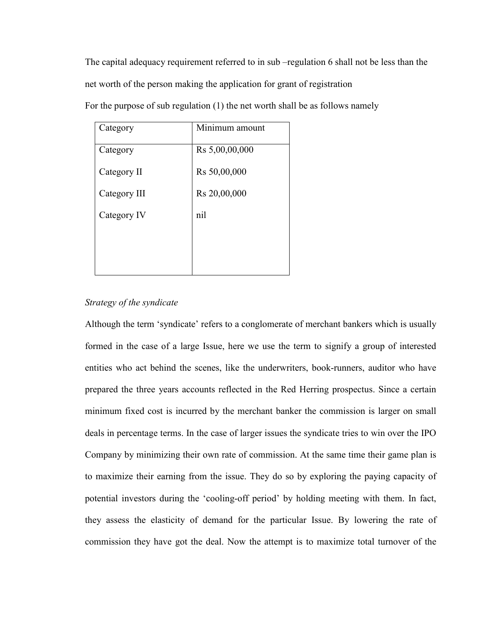The capital adequacy requirement referred to in sub –regulation 6 shall not be less than the net worth of the person making the application for grant of registration

| Category     | Minimum amount |
|--------------|----------------|
| Category     | Rs 5,00,00,000 |
| Category II  | Rs 50,00,000   |
| Category III | Rs 20,00,000   |
| Category IV  | nil            |
|              |                |
|              |                |

For the purpose of sub regulation (1) the net worth shall be as follows namely

# Strategy of the syndicate

Although the term 'syndicate' refers to a conglomerate of merchant bankers which is usually formed in the case of a large Issue, here we use the term to signify a group of interested entities who act behind the scenes, like the underwriters, book-runners, auditor who have prepared the three years accounts reflected in the Red Herring prospectus. Since a certain minimum fixed cost is incurred by the merchant banker the commission is larger on small deals in percentage terms. In the case of larger issues the syndicate tries to win over the IPO Company by minimizing their own rate of commission. At the same time their game plan is to maximize their earning from the issue. They do so by exploring the paying capacity of potential investors during the 'cooling-off period' by holding meeting with them. In fact, they assess the elasticity of demand for the particular Issue. By lowering the rate of commission they have got the deal. Now the attempt is to maximize total turnover of the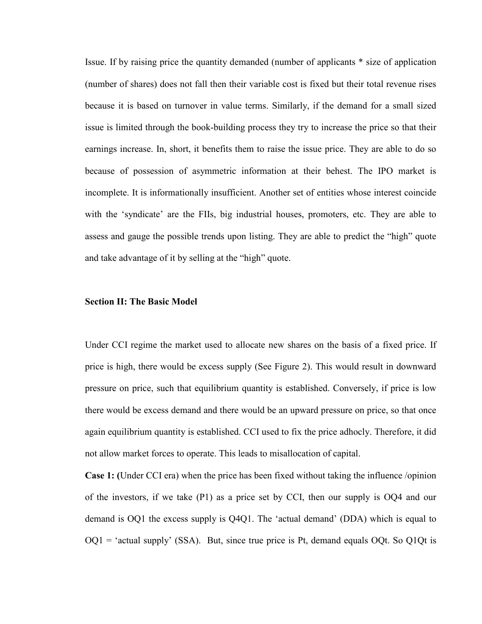Issue. If by raising price the quantity demanded (number of applicants \* size of application (number of shares) does not fall then their variable cost is fixed but their total revenue rises because it is based on turnover in value terms. Similarly, if the demand for a small sized issue is limited through the book-building process they try to increase the price so that their earnings increase. In, short, it benefits them to raise the issue price. They are able to do so because of possession of asymmetric information at their behest. The IPO market is incomplete. It is informationally insufficient. Another set of entities whose interest coincide with the 'syndicate' are the FIIs, big industrial houses, promoters, etc. They are able to assess and gauge the possible trends upon listing. They are able to predict the "high" quote and take advantage of it by selling at the "high" quote.

#### Section II: The Basic Model

Under CCI regime the market used to allocate new shares on the basis of a fixed price. If price is high, there would be excess supply (See Figure 2). This would result in downward pressure on price, such that equilibrium quantity is established. Conversely, if price is low there would be excess demand and there would be an upward pressure on price, so that once again equilibrium quantity is established. CCI used to fix the price adhocly. Therefore, it did not allow market forces to operate. This leads to misallocation of capital.

Case 1: (Under CCI era) when the price has been fixed without taking the influence /opinion of the investors, if we take (P1) as a price set by CCI, then our supply is OQ4 and our demand is OQ1 the excess supply is Q4Q1. The 'actual demand' (DDA) which is equal to  $OQ1$  = 'actual supply' (SSA). But, since true price is Pt, demand equals  $OQt$ . So  $Q1Qt$  is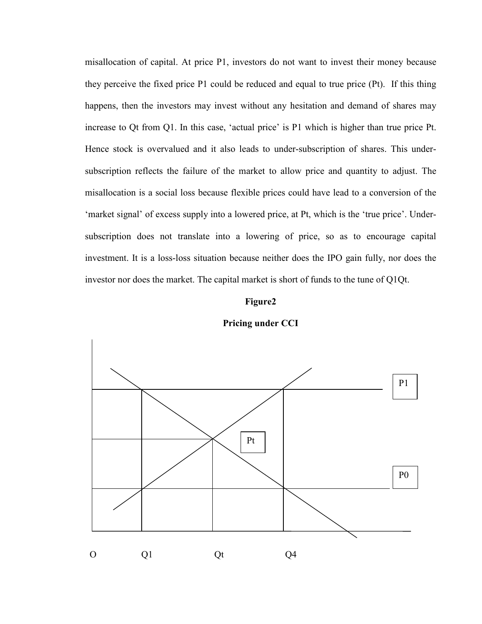misallocation of capital. At price P1, investors do not want to invest their money because they perceive the fixed price P1 could be reduced and equal to true price (Pt). If this thing happens, then the investors may invest without any hesitation and demand of shares may increase to Qt from Q1. In this case, 'actual price' is P1 which is higher than true price Pt. Hence stock is overvalued and it also leads to under-subscription of shares. This undersubscription reflects the failure of the market to allow price and quantity to adjust. The misallocation is a social loss because flexible prices could have lead to a conversion of the 'market signal' of excess supply into a lowered price, at Pt, which is the 'true price'. Undersubscription does not translate into a lowering of price, so as to encourage capital investment. It is a loss-loss situation because neither does the IPO gain fully, nor does the investor nor does the market. The capital market is short of funds to the tune of Q1Qt.

#### Figure2



Pricing under CCI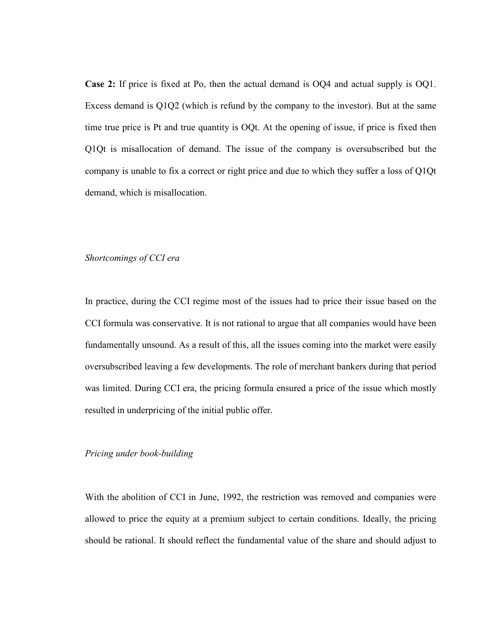Case 2: If price is fixed at Po, then the actual demand is OQ4 and actual supply is OQ1. Excess demand is Q1Q2 (which is refund by the company to the investor). But at the same time true price is Pt and true quantity is OQt. At the opening of issue, if price is fixed then Q1Qt is misallocation of demand. The issue of the company is oversubscribed but the company is unable to fix a correct or right price and due to which they suffer a loss of Q1Qt demand, which is misallocation.

## Shortcomings of CCI era

In practice, during the CCI regime most of the issues had to price their issue based on the CCI formula was conservative. It is not rational to argue that all companies would have been fundamentally unsound. As a result of this, all the issues coming into the market were easily oversubscribed leaving a few developments. The role of merchant bankers during that period was limited. During CCI era, the pricing formula ensured a price of the issue which mostly resulted in underpricing of the initial public offer.

## Pricing under book-building

With the abolition of CCI in June, 1992, the restriction was removed and companies were allowed to price the equity at a premium subject to certain conditions. Ideally, the pricing should be rational. It should reflect the fundamental value of the share and should adjust to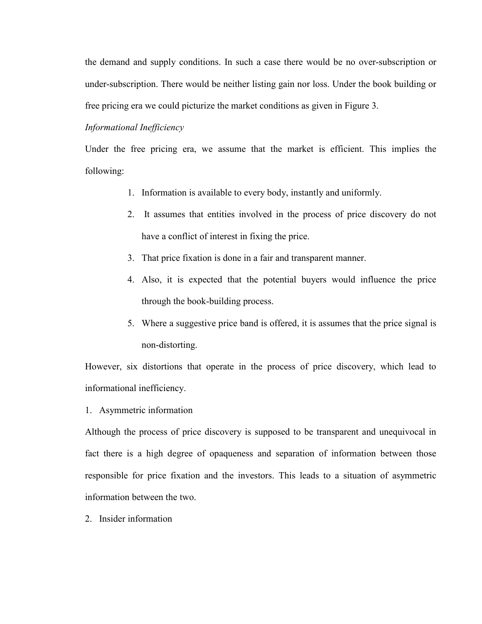the demand and supply conditions. In such a case there would be no over-subscription or under-subscription. There would be neither listing gain nor loss. Under the book building or free pricing era we could picturize the market conditions as given in Figure 3.

## Informational Inefficiency

Under the free pricing era, we assume that the market is efficient. This implies the following:

- 1. Information is available to every body, instantly and uniformly.
- 2. It assumes that entities involved in the process of price discovery do not have a conflict of interest in fixing the price.
- 3. That price fixation is done in a fair and transparent manner.
- 4. Also, it is expected that the potential buyers would influence the price through the book-building process.
- 5. Where a suggestive price band is offered, it is assumes that the price signal is non-distorting.

However, six distortions that operate in the process of price discovery, which lead to informational inefficiency.

1. Asymmetric information

Although the process of price discovery is supposed to be transparent and unequivocal in fact there is a high degree of opaqueness and separation of information between those responsible for price fixation and the investors. This leads to a situation of asymmetric information between the two.

2. Insider information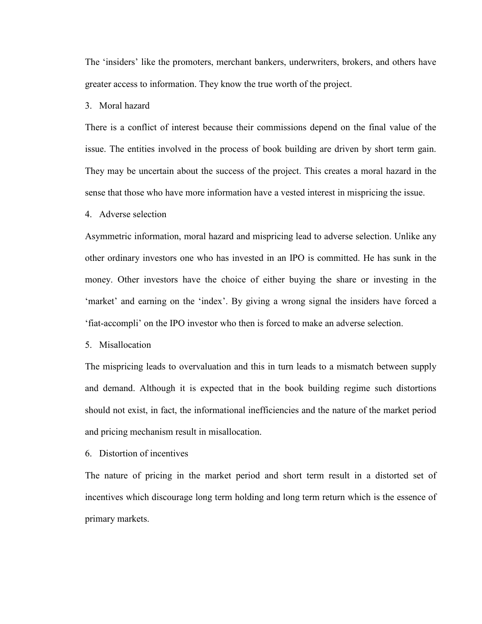The 'insiders' like the promoters, merchant bankers, underwriters, brokers, and others have greater access to information. They know the true worth of the project.

# 3. Moral hazard

There is a conflict of interest because their commissions depend on the final value of the issue. The entities involved in the process of book building are driven by short term gain. They may be uncertain about the success of the project. This creates a moral hazard in the sense that those who have more information have a vested interest in mispricing the issue.

#### 4. Adverse selection

Asymmetric information, moral hazard and mispricing lead to adverse selection. Unlike any other ordinary investors one who has invested in an IPO is committed. He has sunk in the money. Other investors have the choice of either buying the share or investing in the 'market' and earning on the 'index'. By giving a wrong signal the insiders have forced a 'fiat-accompli' on the IPO investor who then is forced to make an adverse selection.

## 5. Misallocation

The mispricing leads to overvaluation and this in turn leads to a mismatch between supply and demand. Although it is expected that in the book building regime such distortions should not exist, in fact, the informational inefficiencies and the nature of the market period and pricing mechanism result in misallocation.

#### 6. Distortion of incentives

The nature of pricing in the market period and short term result in a distorted set of incentives which discourage long term holding and long term return which is the essence of primary markets.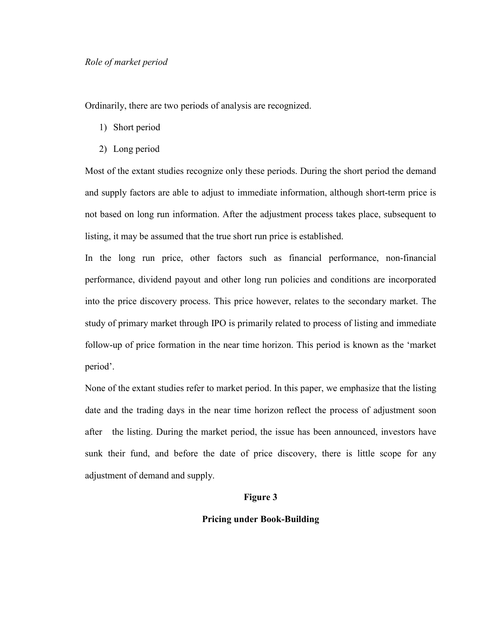Ordinarily, there are two periods of analysis are recognized.

- 1) Short period
- 2) Long period

Most of the extant studies recognize only these periods. During the short period the demand and supply factors are able to adjust to immediate information, although short-term price is not based on long run information. After the adjustment process takes place, subsequent to listing, it may be assumed that the true short run price is established.

In the long run price, other factors such as financial performance, non-financial performance, dividend payout and other long run policies and conditions are incorporated into the price discovery process. This price however, relates to the secondary market. The study of primary market through IPO is primarily related to process of listing and immediate follow-up of price formation in the near time horizon. This period is known as the 'market period'.

None of the extant studies refer to market period. In this paper, we emphasize that the listing date and the trading days in the near time horizon reflect the process of adjustment soon after the listing. During the market period, the issue has been announced, investors have sunk their fund, and before the date of price discovery, there is little scope for any adjustment of demand and supply.

## Figure 3

## Pricing under Book-Building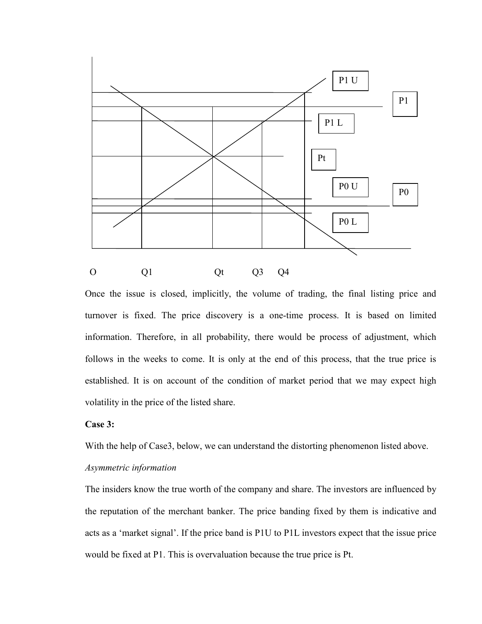

Once the issue is closed, implicitly, the volume of trading, the final listing price and turnover is fixed. The price discovery is a one-time process. It is based on limited information. Therefore, in all probability, there would be process of adjustment, which follows in the weeks to come. It is only at the end of this process, that the true price is established. It is on account of the condition of market period that we may expect high volatility in the price of the listed share.

## Case 3:

With the help of Case3, below, we can understand the distorting phenomenon listed above.

# Asymmetric information

The insiders know the true worth of the company and share. The investors are influenced by the reputation of the merchant banker. The price banding fixed by them is indicative and acts as a 'market signal'. If the price band is P1U to P1L investors expect that the issue price would be fixed at P1. This is overvaluation because the true price is Pt.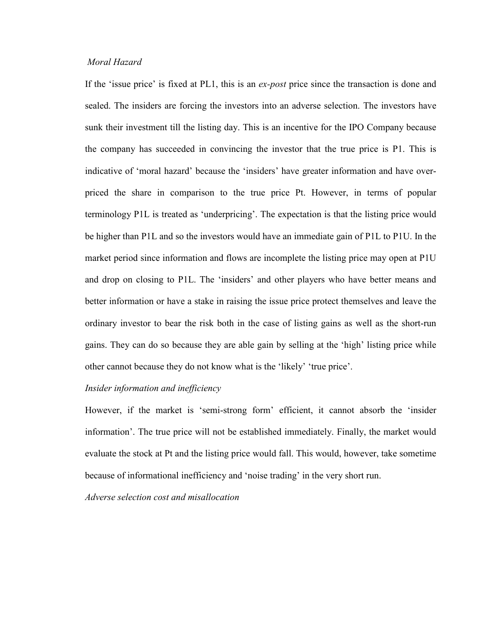# Moral Hazard

If the 'issue price' is fixed at PL1, this is an *ex-post* price since the transaction is done and sealed. The insiders are forcing the investors into an adverse selection. The investors have sunk their investment till the listing day. This is an incentive for the IPO Company because the company has succeeded in convincing the investor that the true price is P1. This is indicative of 'moral hazard' because the 'insiders' have greater information and have overpriced the share in comparison to the true price Pt. However, in terms of popular terminology P1L is treated as 'underpricing'. The expectation is that the listing price would be higher than P1L and so the investors would have an immediate gain of P1L to P1U. In the market period since information and flows are incomplete the listing price may open at P1U and drop on closing to P1L. The 'insiders' and other players who have better means and better information or have a stake in raising the issue price protect themselves and leave the ordinary investor to bear the risk both in the case of listing gains as well as the short-run gains. They can do so because they are able gain by selling at the 'high' listing price while other cannot because they do not know what is the 'likely' 'true price'.

#### Insider information and inefficiency

However, if the market is 'semi-strong form' efficient, it cannot absorb the 'insider information'. The true price will not be established immediately. Finally, the market would evaluate the stock at Pt and the listing price would fall. This would, however, take sometime because of informational inefficiency and 'noise trading' in the very short run.

Adverse selection cost and misallocation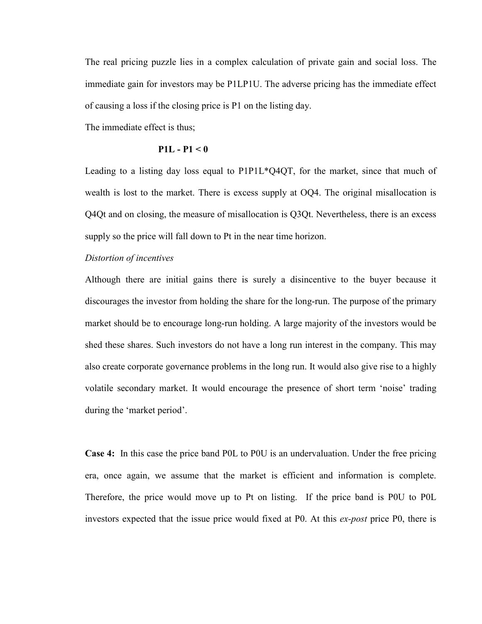The real pricing puzzle lies in a complex calculation of private gain and social loss. The immediate gain for investors may be P1LP1U. The adverse pricing has the immediate effect of causing a loss if the closing price is P1 on the listing day.

The immediate effect is thus;

# $P1L - P1 < 0$

Leading to a listing day loss equal to P1P1L\*Q4QT, for the market, since that much of wealth is lost to the market. There is excess supply at OQ4. The original misallocation is Q4Qt and on closing, the measure of misallocation is Q3Qt. Nevertheless, there is an excess supply so the price will fall down to Pt in the near time horizon.

## Distortion of incentives

Although there are initial gains there is surely a disincentive to the buyer because it discourages the investor from holding the share for the long-run. The purpose of the primary market should be to encourage long-run holding. A large majority of the investors would be shed these shares. Such investors do not have a long run interest in the company. This may also create corporate governance problems in the long run. It would also give rise to a highly volatile secondary market. It would encourage the presence of short term 'noise' trading during the 'market period'.

Case 4: In this case the price band P0L to P0U is an undervaluation. Under the free pricing era, once again, we assume that the market is efficient and information is complete. Therefore, the price would move up to Pt on listing. If the price band is P0U to P0L investors expected that the issue price would fixed at P0. At this ex-post price P0, there is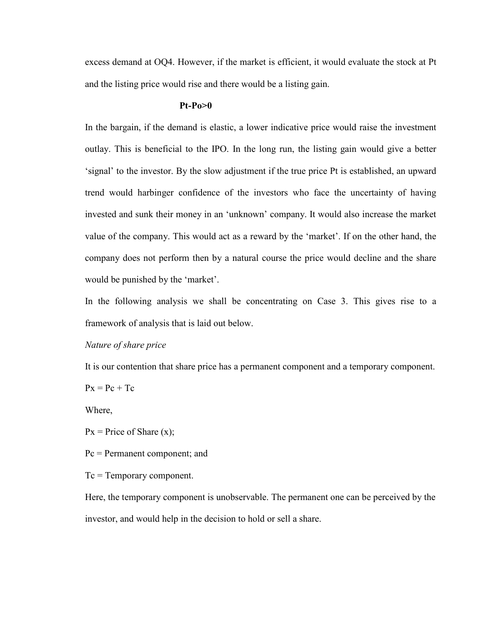excess demand at OQ4. However, if the market is efficient, it would evaluate the stock at Pt and the listing price would rise and there would be a listing gain.

## $Pt-Po>0$

In the bargain, if the demand is elastic, a lower indicative price would raise the investment outlay. This is beneficial to the IPO. In the long run, the listing gain would give a better 'signal' to the investor. By the slow adjustment if the true price Pt is established, an upward trend would harbinger confidence of the investors who face the uncertainty of having invested and sunk their money in an 'unknown' company. It would also increase the market value of the company. This would act as a reward by the 'market'. If on the other hand, the company does not perform then by a natural course the price would decline and the share would be punished by the 'market'.

In the following analysis we shall be concentrating on Case 3. This gives rise to a framework of analysis that is laid out below.

#### Nature of share price

It is our contention that share price has a permanent component and a temporary component.

 $Px = Pc + Tc$ 

Where,

 $Px = Price of Share (x);$ 

Pc = Permanent component; and

Tc = Temporary component.

Here, the temporary component is unobservable. The permanent one can be perceived by the investor, and would help in the decision to hold or sell a share.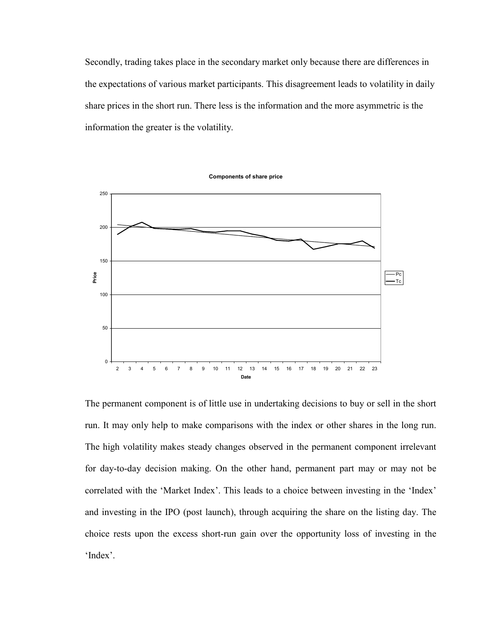Secondly, trading takes place in the secondary market only because there are differences in the expectations of various market participants. This disagreement leads to volatility in daily share prices in the short run. There less is the information and the more asymmetric is the information the greater is the volatility.



The permanent component is of little use in undertaking decisions to buy or sell in the short run. It may only help to make comparisons with the index or other shares in the long run. The high volatility makes steady changes observed in the permanent component irrelevant for day-to-day decision making. On the other hand, permanent part may or may not be correlated with the 'Market Index'. This leads to a choice between investing in the 'Index' and investing in the IPO (post launch), through acquiring the share on the listing day. The choice rests upon the excess short-run gain over the opportunity loss of investing in the 'Index'.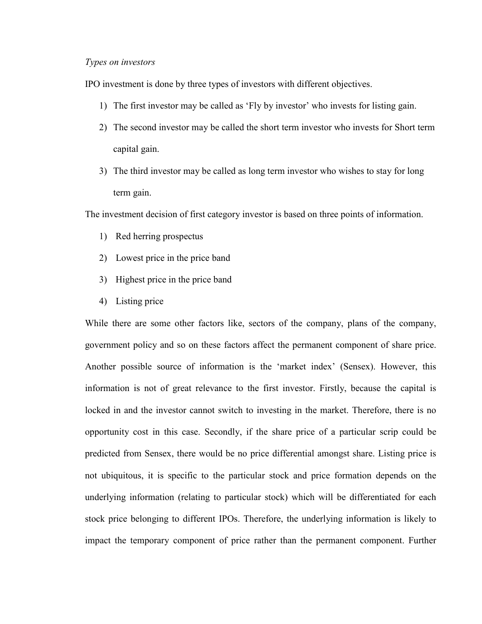#### Types on investors

IPO investment is done by three types of investors with different objectives.

- 1) The first investor may be called as 'Fly by investor' who invests for listing gain.
- 2) The second investor may be called the short term investor who invests for Short term capital gain.
- 3) The third investor may be called as long term investor who wishes to stay for long term gain.

The investment decision of first category investor is based on three points of information.

- 1) Red herring prospectus
- 2) Lowest price in the price band
- 3) Highest price in the price band
- 4) Listing price

While there are some other factors like, sectors of the company, plans of the company, government policy and so on these factors affect the permanent component of share price. Another possible source of information is the 'market index' (Sensex). However, this information is not of great relevance to the first investor. Firstly, because the capital is locked in and the investor cannot switch to investing in the market. Therefore, there is no opportunity cost in this case. Secondly, if the share price of a particular scrip could be predicted from Sensex, there would be no price differential amongst share. Listing price is not ubiquitous, it is specific to the particular stock and price formation depends on the underlying information (relating to particular stock) which will be differentiated for each stock price belonging to different IPOs. Therefore, the underlying information is likely to impact the temporary component of price rather than the permanent component. Further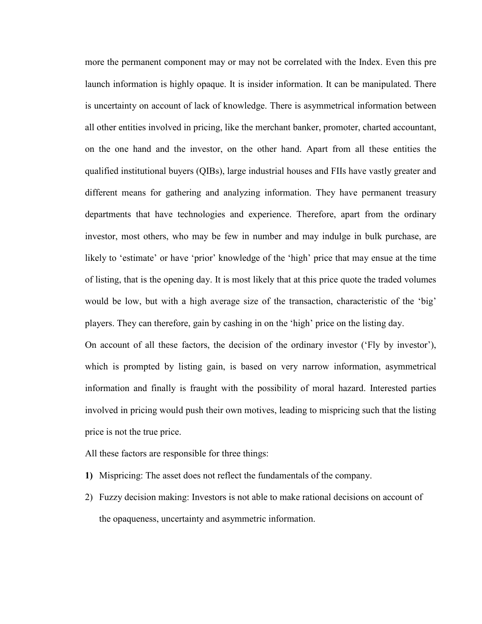more the permanent component may or may not be correlated with the Index. Even this pre launch information is highly opaque. It is insider information. It can be manipulated. There is uncertainty on account of lack of knowledge. There is asymmetrical information between all other entities involved in pricing, like the merchant banker, promoter, charted accountant, on the one hand and the investor, on the other hand. Apart from all these entities the qualified institutional buyers (QIBs), large industrial houses and FIIs have vastly greater and different means for gathering and analyzing information. They have permanent treasury departments that have technologies and experience. Therefore, apart from the ordinary investor, most others, who may be few in number and may indulge in bulk purchase, are likely to 'estimate' or have 'prior' knowledge of the 'high' price that may ensue at the time of listing, that is the opening day. It is most likely that at this price quote the traded volumes would be low, but with a high average size of the transaction, characteristic of the 'big' players. They can therefore, gain by cashing in on the 'high' price on the listing day.

On account of all these factors, the decision of the ordinary investor ('Fly by investor'), which is prompted by listing gain, is based on very narrow information, asymmetrical information and finally is fraught with the possibility of moral hazard. Interested parties involved in pricing would push their own motives, leading to mispricing such that the listing price is not the true price.

- All these factors are responsible for three things:
- 1) Mispricing: The asset does not reflect the fundamentals of the company.
- 2) Fuzzy decision making: Investors is not able to make rational decisions on account of the opaqueness, uncertainty and asymmetric information.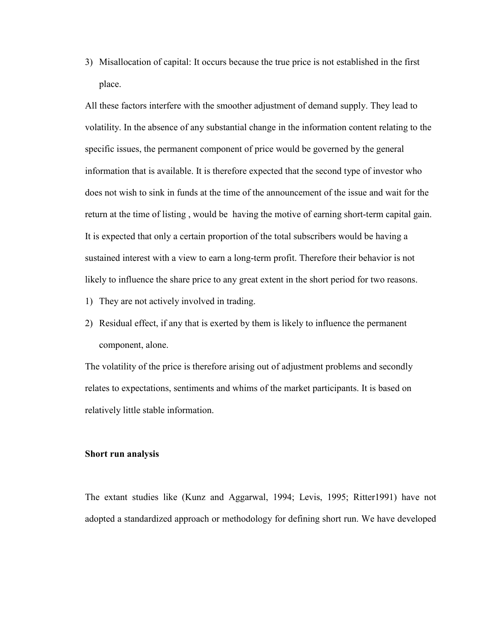3) Misallocation of capital: It occurs because the true price is not established in the first place.

All these factors interfere with the smoother adjustment of demand supply. They lead to volatility. In the absence of any substantial change in the information content relating to the specific issues, the permanent component of price would be governed by the general information that is available. It is therefore expected that the second type of investor who does not wish to sink in funds at the time of the announcement of the issue and wait for the return at the time of listing , would be having the motive of earning short-term capital gain. It is expected that only a certain proportion of the total subscribers would be having a sustained interest with a view to earn a long-term profit. Therefore their behavior is not likely to influence the share price to any great extent in the short period for two reasons.

- 1) They are not actively involved in trading.
- 2) Residual effect, if any that is exerted by them is likely to influence the permanent component, alone.

The volatility of the price is therefore arising out of adjustment problems and secondly relates to expectations, sentiments and whims of the market participants. It is based on relatively little stable information.

#### Short run analysis

The extant studies like (Kunz and Aggarwal, 1994; Levis, 1995; Ritter1991) have not adopted a standardized approach or methodology for defining short run. We have developed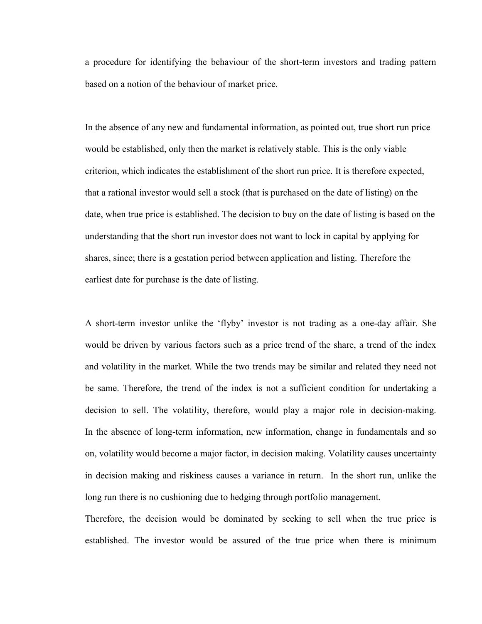a procedure for identifying the behaviour of the short-term investors and trading pattern based on a notion of the behaviour of market price.

In the absence of any new and fundamental information, as pointed out, true short run price would be established, only then the market is relatively stable. This is the only viable criterion, which indicates the establishment of the short run price. It is therefore expected, that a rational investor would sell a stock (that is purchased on the date of listing) on the date, when true price is established. The decision to buy on the date of listing is based on the understanding that the short run investor does not want to lock in capital by applying for shares, since; there is a gestation period between application and listing. Therefore the earliest date for purchase is the date of listing.

A short-term investor unlike the 'flyby' investor is not trading as a one-day affair. She would be driven by various factors such as a price trend of the share, a trend of the index and volatility in the market. While the two trends may be similar and related they need not be same. Therefore, the trend of the index is not a sufficient condition for undertaking a decision to sell. The volatility, therefore, would play a major role in decision-making. In the absence of long-term information, new information, change in fundamentals and so on, volatility would become a major factor, in decision making. Volatility causes uncertainty in decision making and riskiness causes a variance in return. In the short run, unlike the long run there is no cushioning due to hedging through portfolio management.

Therefore, the decision would be dominated by seeking to sell when the true price is established. The investor would be assured of the true price when there is minimum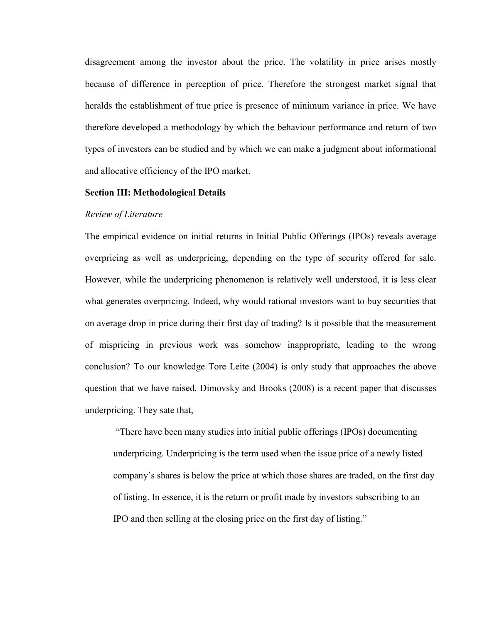disagreement among the investor about the price. The volatility in price arises mostly because of difference in perception of price. Therefore the strongest market signal that heralds the establishment of true price is presence of minimum variance in price. We have therefore developed a methodology by which the behaviour performance and return of two types of investors can be studied and by which we can make a judgment about informational and allocative efficiency of the IPO market.

#### Section III: Methodological Details

#### Review of Literature

The empirical evidence on initial returns in Initial Public Offerings (IPOs) reveals average overpricing as well as underpricing, depending on the type of security offered for sale. However, while the underpricing phenomenon is relatively well understood, it is less clear what generates overpricing. Indeed, why would rational investors want to buy securities that on average drop in price during their first day of trading? Is it possible that the measurement of mispricing in previous work was somehow inappropriate, leading to the wrong conclusion? To our knowledge Tore Leite (2004) is only study that approaches the above question that we have raised. Dimovsky and Brooks (2008) is a recent paper that discusses underpricing. They sate that,

 "There have been many studies into initial public offerings (IPOs) documenting underpricing. Underpricing is the term used when the issue price of a newly listed company's shares is below the price at which those shares are traded, on the first day of listing. In essence, it is the return or profit made by investors subscribing to an IPO and then selling at the closing price on the first day of listing."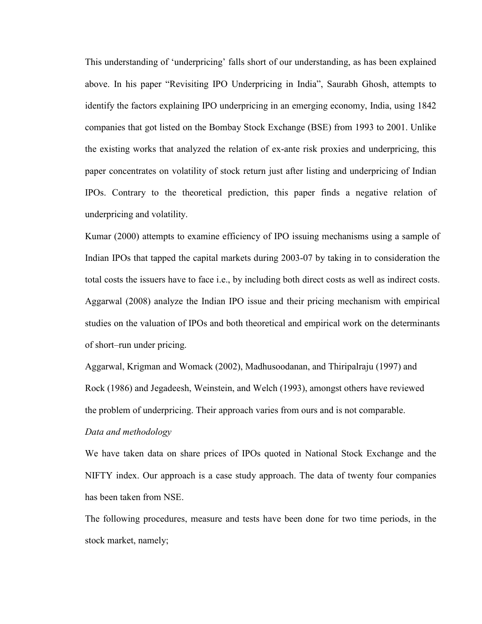This understanding of 'underpricing' falls short of our understanding, as has been explained above. In his paper "Revisiting IPO Underpricing in India", Saurabh Ghosh, attempts to identify the factors explaining IPO underpricing in an emerging economy, India, using 1842 companies that got listed on the Bombay Stock Exchange (BSE) from 1993 to 2001. Unlike the existing works that analyzed the relation of ex-ante risk proxies and underpricing, this paper concentrates on volatility of stock return just after listing and underpricing of Indian IPOs. Contrary to the theoretical prediction, this paper finds a negative relation of underpricing and volatility.

Kumar (2000) attempts to examine efficiency of IPO issuing mechanisms using a sample of Indian IPOs that tapped the capital markets during 2003-07 by taking in to consideration the total costs the issuers have to face i.e., by including both direct costs as well as indirect costs. Aggarwal (2008) analyze the Indian IPO issue and their pricing mechanism with empirical studies on the valuation of IPOs and both theoretical and empirical work on the determinants of short–run under pricing.

Aggarwal, Krigman and Womack (2002), Madhusoodanan, and Thiripalraju (1997) and Rock (1986) and Jegadeesh, Weinstein, and Welch (1993), amongst others have reviewed the problem of underpricing. Their approach varies from ours and is not comparable.

# Data and methodology

We have taken data on share prices of IPOs quoted in National Stock Exchange and the NIFTY index. Our approach is a case study approach. The data of twenty four companies has been taken from NSE.

The following procedures, measure and tests have been done for two time periods, in the stock market, namely;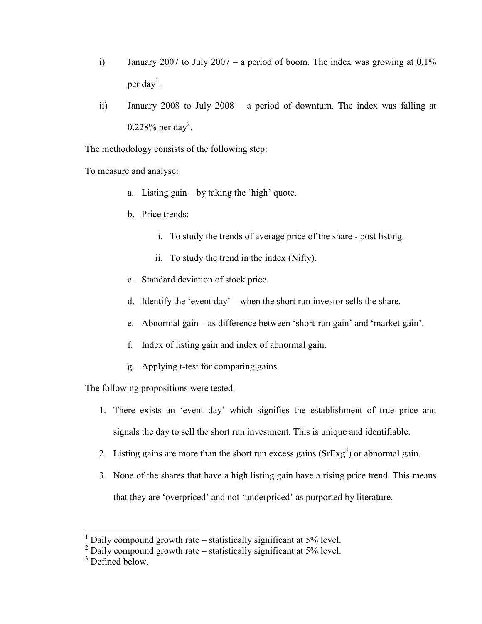- i) January 2007 to July 2007 a period of boom. The index was growing at  $0.1\%$ per day<sup>1</sup>.
- ii) January 2008 to July 2008 a period of downturn. The index was falling at 0.228% per day<sup>2</sup>.

The methodology consists of the following step:

To measure and analyse:

- a. Listing gain by taking the 'high' quote.
- b. Price trends:
	- i. To study the trends of average price of the share post listing.
	- ii. To study the trend in the index (Nifty).
- c. Standard deviation of stock price.
- d. Identify the 'event day' when the short run investor sells the share.
- e. Abnormal gain as difference between 'short-run gain' and 'market gain'.
- f. Index of listing gain and index of abnormal gain.
- g. Applying t-test for comparing gains.

The following propositions were tested.

- 1. There exists an 'event day' which signifies the establishment of true price and signals the day to sell the short run investment. This is unique and identifiable.
- 2. Listing gains are more than the short run excess gains  $(SrExg<sup>3</sup>)$  or abnormal gain.
- 3. None of the shares that have a high listing gain have a rising price trend. This means that they are 'overpriced' and not 'underpriced' as purported by literature.

<sup>&</sup>lt;sup>1</sup> Daily compound growth rate – statistically significant at 5% level.

 $2$  Daily compound growth rate – statistically significant at 5% level.

<sup>&</sup>lt;sup>3</sup> Defined below.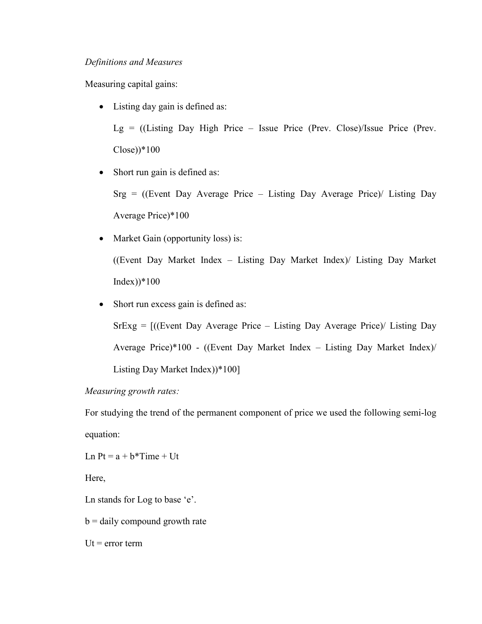# Definitions and Measures

Measuring capital gains:

• Listing day gain is defined as:

 $Lg =$  ((Listing Day High Price – Issue Price (Prev. Close)/Issue Price (Prev.  $Close$ )\*100

• Short run gain is defined as:

 $Srg = ($ (Event Day Average Price – Listing Day Average Price)/ Listing Day Average Price)\*100

• Market Gain (opportunity loss) is:

((Event Day Market Index – Listing Day Market Index)/ Listing Day Market  $Index)$ <sup>\*</sup>100

• Short run excess gain is defined as:

 $SrExg =$   $[(Event Day Average Price - Listing Day Average Price) / Listing Day$ Average Price)\*100 - ((Event Day Market Index – Listing Day Market Index)/ Listing Day Market Index))\*100]

Measuring growth rates:

For studying the trend of the permanent component of price we used the following semi-log equation:

Ln  $Pt = a + b^*$ Time + Ut

Here,

Ln stands for Log to base 'e'.

 $b =$  daily compound growth rate

 $Ut = error term$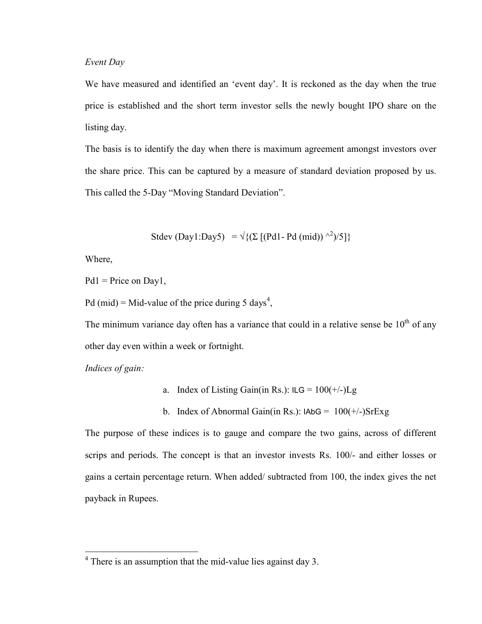## Event Day

We have measured and identified an 'event day'. It is reckoned as the day when the true price is established and the short term investor sells the newly bought IPO share on the listing day.

The basis is to identify the day when there is maximum agreement amongst investors over the share price. This can be captured by a measure of standard deviation proposed by us. This called the 5-Day "Moving Standard Deviation".

$$
Stdev (Day1:Day5) = \sqrt{\{(\Sigma [(Pd1-Pd (mid)) ^{2})/5]\}}
$$

Where,

 $Pd1$  = Price on Day1,

Pd (mid) = Mid-value of the price during 5 days<sup>4</sup>,

The minimum variance day often has a variance that could in a relative sense be  $10<sup>th</sup>$  of any other day even within a week or fortnight.

Indices of gain:

- a. Index of Listing Gain(in Rs.):  $ILG = 100(+/-)Lg$
- b. Index of Abnormal Gain(in Rs.):  $IAbG = 100(+/-)SrExg$

The purpose of these indices is to gauge and compare the two gains, across of different scrips and periods. The concept is that an investor invests Rs. 100/- and either losses or gains a certain percentage return. When added/ subtracted from 100, the index gives the net payback in Rupees.

<sup>&</sup>lt;sup>4</sup> There is an assumption that the mid-value lies against day 3.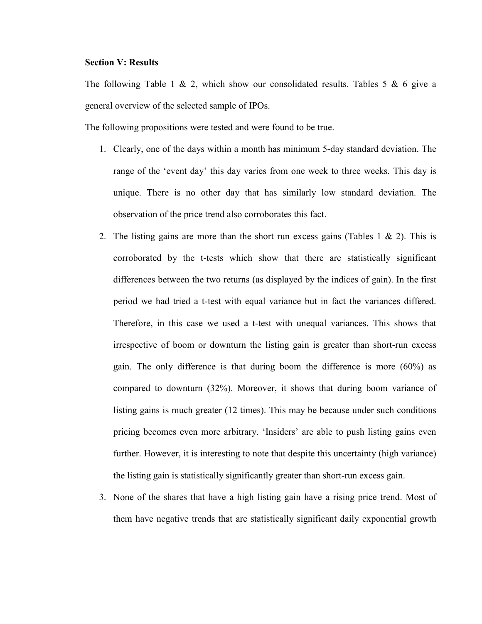# Section V: Results

The following Table 1 & 2, which show our consolidated results. Tables 5 & 6 give a general overview of the selected sample of IPOs.

The following propositions were tested and were found to be true.

- 1. Clearly, one of the days within a month has minimum 5-day standard deviation. The range of the 'event day' this day varies from one week to three weeks. This day is unique. There is no other day that has similarly low standard deviation. The observation of the price trend also corroborates this fact.
- 2. The listing gains are more than the short run excess gains (Tables 1  $\&$  2). This is corroborated by the t-tests which show that there are statistically significant differences between the two returns (as displayed by the indices of gain). In the first period we had tried a t-test with equal variance but in fact the variances differed. Therefore, in this case we used a t-test with unequal variances. This shows that irrespective of boom or downturn the listing gain is greater than short-run excess gain. The only difference is that during boom the difference is more (60%) as compared to downturn (32%). Moreover, it shows that during boom variance of listing gains is much greater (12 times). This may be because under such conditions pricing becomes even more arbitrary. 'Insiders' are able to push listing gains even further. However, it is interesting to note that despite this uncertainty (high variance) the listing gain is statistically significantly greater than short-run excess gain.
- 3. None of the shares that have a high listing gain have a rising price trend. Most of them have negative trends that are statistically significant daily exponential growth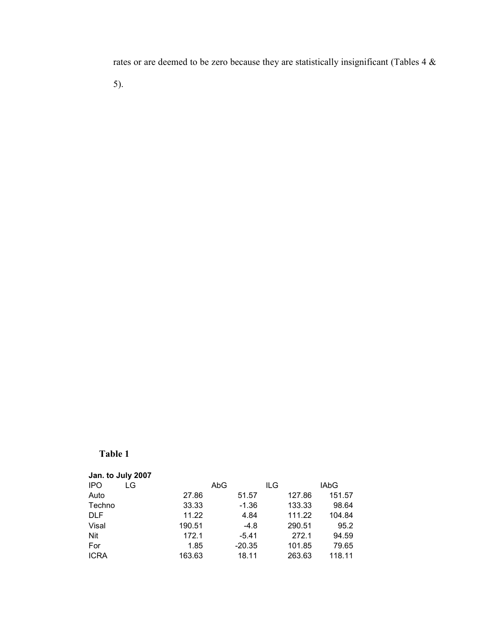rates or are deemed to be zero because they are statistically insignificant (Tables 4 &

5).

# Table 1

| Jan. to July 2007 |        |          |        |             |
|-------------------|--------|----------|--------|-------------|
| <b>IPO</b><br>LG  |        | AbG      | ILG    | <b>IAbG</b> |
| Auto              | 27.86  | 51.57    | 127.86 | 151.57      |
| Techno            | 33.33  | $-1.36$  | 133.33 | 98.64       |
| <b>DLF</b>        | 11.22  | 4.84     | 111.22 | 104.84      |
| Visal             | 190.51 | $-4.8$   | 290.51 | 95.2        |
| <b>Nit</b>        | 172.1  | $-5.41$  | 272.1  | 94.59       |
| For               | 1.85   | $-20.35$ | 101.85 | 79.65       |
| <b>ICRA</b>       | 163.63 | 18.11    | 263.63 | 118.11      |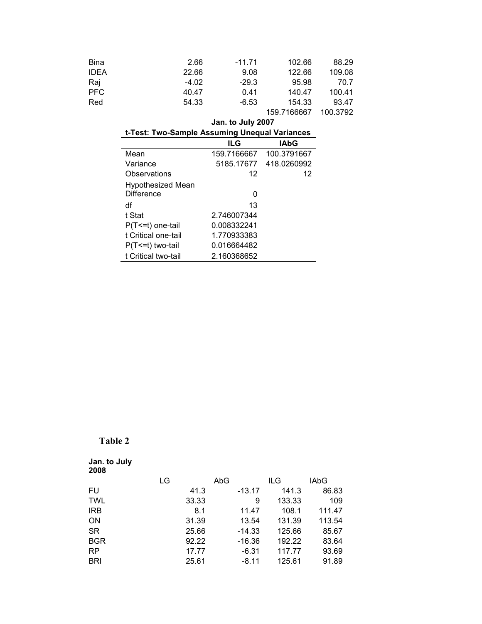| <b>Bina</b> | 2.66    | -11.71  | 102.66      | 88.29    |
|-------------|---------|---------|-------------|----------|
| <b>IDEA</b> | 22.66   | 9.08    | 122.66      | 109.08   |
| Raj         | $-4.02$ | $-29.3$ | 95.98       | 70.7     |
| <b>PFC</b>  | 40.47   | 0.41    | 140.47      | 100.41   |
| Red         | 54.33   | $-6.53$ | 154.33      | 93.47    |
|             |         |         | 159.7166667 | 100.3792 |

## Jan. to July 2007

| t-Test: Two-Sample Assuming Unequal Variances |             |                        |  |
|-----------------------------------------------|-------------|------------------------|--|
|                                               | ILG         | <b>IAbG</b>            |  |
| Mean                                          | 159.7166667 | 100.3791667            |  |
| Variance                                      |             | 5185.17677 418.0260992 |  |
| Observations                                  | 12          | 12                     |  |
| <b>Hypothesized Mean</b><br><b>Difference</b> | 0           |                        |  |
| df                                            | 13          |                        |  |
| t Stat                                        | 2.746007344 |                        |  |
| $P(T \le t)$ one-tail                         | 0.008332241 |                        |  |
| t Critical one-tail                           | 1.770933383 |                        |  |
| $P(T \le t)$ two-tail                         | 0.016664482 |                        |  |
| t Critical two-tail                           | 2.160368652 |                        |  |
|                                               |             |                        |  |

# Table 2

| Jan. to July<br>2008 |    |       |     |          |        |        |
|----------------------|----|-------|-----|----------|--------|--------|
|                      | LG |       | AbG |          | ILG    | IAbG   |
| FU                   |    | 41.3  |     | $-13.17$ | 141.3  | 86.83  |
| <b>TWL</b>           |    | 33.33 |     | 9        | 133.33 | 109    |
| <b>IRB</b>           |    | 8.1   |     | 11.47    | 108.1  | 111.47 |
| <b>ON</b>            |    | 31.39 |     | 13.54    | 131.39 | 113.54 |
| <b>SR</b>            |    | 25.66 |     | $-14.33$ | 125.66 | 85.67  |
| <b>BGR</b>           |    | 92.22 |     | -16.36   | 192.22 | 83.64  |
| <b>RP</b>            |    | 17.77 |     | $-6.31$  | 117.77 | 93.69  |
| <b>BRI</b>           |    | 25.61 |     | $-8.11$  | 125.61 | 91.89  |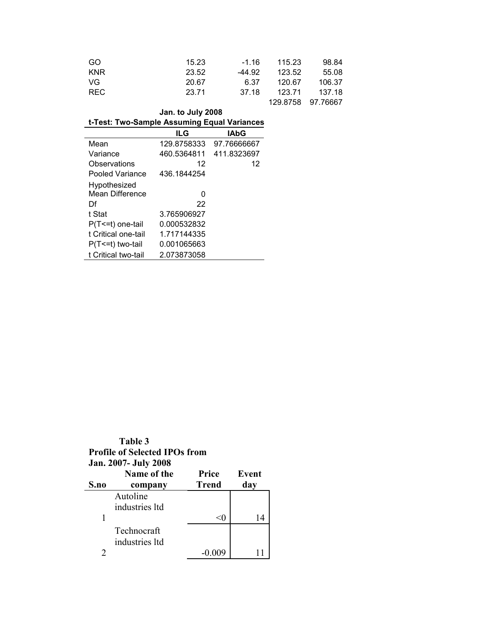| GO.        | 15.23 | $-1.16$ | 115.23 | 98.84             |
|------------|-------|---------|--------|-------------------|
| <b>KNR</b> | 23.52 | -44.92  | 123.52 | 55.08             |
| VG         | 20.67 | 6.37    | 120.67 | 106.37            |
| REC.       | 23.71 | 37.18   | 123.71 | 137.18            |
|            |       |         |        | 129.8758 97.76667 |

| Jan. to July 2008                           |  |
|---------------------------------------------|--|
| t-Test: Two-Sample Assuming Equal Variances |  |

|                     | <b>ILG</b>  | <b>IAbG</b> |
|---------------------|-------------|-------------|
| Mean                | 129.8758333 | 97.76666667 |
| Variance            | 460.5364811 | 411.8323697 |
| Observations        | 12          | 12          |
| Pooled Variance     | 436.1844254 |             |
| Hypothesized        |             |             |
| Mean Difference     | 0           |             |
| Df                  | 22          |             |
| t Stat              | 3.765906927 |             |
| P(T<=t) one-tail    | 0.000532832 |             |
| t Critical one-tail | 1.717144335 |             |
| P(T<=t) two-tail    | 0.001065663 |             |
| t Critical two-tail | 2.073873058 |             |

| Table 3                              |
|--------------------------------------|
| <b>Profile of Selected IPOs from</b> |
| <b>Jan. 2007- July 2008</b>          |

| S.no | Name of the<br>company | Price<br><b>Trend</b> | Event<br>day |
|------|------------------------|-----------------------|--------------|
|      | Autoline               |                       |              |
|      | industries ltd         |                       |              |
|      |                        | <∪                    | 14           |
|      | Technocraft            |                       |              |
|      | industries ltd         |                       |              |
|      |                        |                       |              |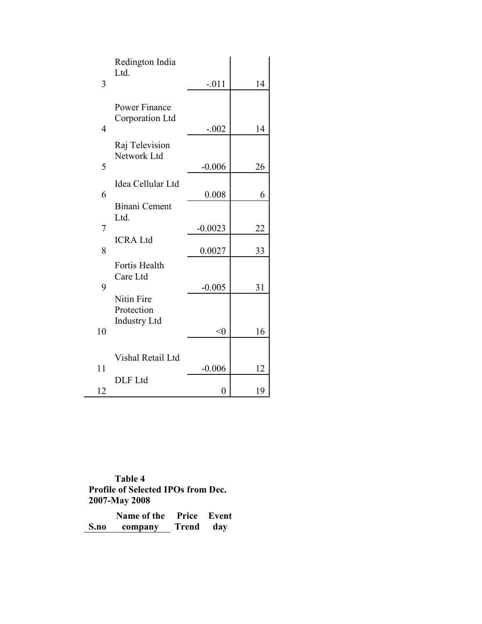|                | Redington India               |                |    |
|----------------|-------------------------------|----------------|----|
| 3              | Ltd.                          | $-.011$        | 14 |
|                | Power Finance                 |                |    |
|                | Corporation Ltd               |                |    |
| $\overline{4}$ |                               | $-.002$        | 14 |
|                | Raj Television<br>Network Ltd |                |    |
| 5              |                               | $-0.006$       | 26 |
|                | Idea Cellular Ltd             |                |    |
| 6              |                               | 0.008          | 6  |
|                | <b>Binani Cement</b><br>Ltd.  |                |    |
| 7              |                               | $-0.0023$      | 22 |
|                | <b>ICRA Ltd</b>               |                |    |
| 8              |                               | 0.0027         | 33 |
|                | Fortis Health<br>Care Ltd     |                |    |
| 9              |                               | $-0.005$       | 31 |
|                | Nitin Fire<br>Protection      |                |    |
| 10             | <b>Industry Ltd</b>           |                |    |
|                |                               | $<$ 0          | 16 |
|                | Vishal Retail Ltd             |                |    |
| 11             |                               | $-0.006$       | 12 |
| 12             | DLF Ltd                       | $\overline{0}$ | 19 |
|                |                               |                |    |

Table 4 Profile of Selected IPOs from Dec. 2007-May 2008

|      | Name of the |           | <b>Price Event</b> |
|------|-------------|-----------|--------------------|
| S.no | company     | Trend day |                    |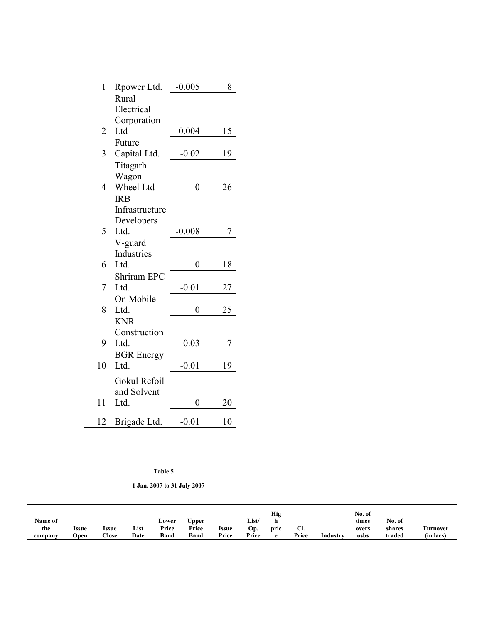| 1              | Rpower Ltd.               | $-0.005$       | 8  |
|----------------|---------------------------|----------------|----|
|                | Rural                     |                |    |
|                | Electrical                |                |    |
|                | Corporation               |                |    |
| $\overline{2}$ | Ltd                       | 0.004          | 15 |
|                | Future                    |                |    |
| 3              | Capital Ltd.              | $-0.02$        | 19 |
|                | Titagarh                  |                |    |
|                | Wagon                     |                |    |
| $\overline{4}$ | Wheel Ltd                 | $\overline{0}$ | 26 |
|                | <b>IRB</b>                |                |    |
|                | Infrastructure            |                |    |
|                | Developers                |                |    |
| 5              | Ltd.                      | $-0.008$       | 7  |
|                | V-guard                   |                |    |
|                | Industries                |                |    |
| 6              | Ltd.                      | $\overline{0}$ | 18 |
|                | <b>Shriram EPC</b>        |                |    |
| 7              | Ltd.                      | $-0.01$        | 27 |
|                | On Mobile                 |                |    |
| 8              | Ltd.                      | $\overline{0}$ | 25 |
|                | <b>KNR</b>                |                |    |
| 9              | Construction              |                |    |
|                | Ltd.                      | $-0.03$        | 7  |
| 10             | <b>BGR</b> Energy<br>Ltd. |                |    |
|                |                           | $-0.01$        | 19 |
|                | Gokul Refoil              |                |    |
|                | and Solvent               |                |    |
| 11             | Ltd.                      | $\overline{0}$ | 20 |
| 12             | Brigade Ltd.              | $-0.01$        | 10 |

Table 5

1 Jan. 2007 to 31 July 2007

|         |       |               |      |             |             |       |       | Hig  |       |          | No. of |        |           |
|---------|-------|---------------|------|-------------|-------------|-------|-------|------|-------|----------|--------|--------|-----------|
| Name of |       |               |      | Lower       | Upper       |       | List/ |      |       |          | times  | No. of |           |
| the     | Issue | Issue         | List | Price       | Price       | Issue | Op.   | pric | U.    |          | overs  | shares | \urnover  |
| company | Open  | $\bigcap$ ose | Date | <b>Band</b> | <b>Band</b> | Price | Price |      | Price | Industry | usbs   | traded | (in lacs) |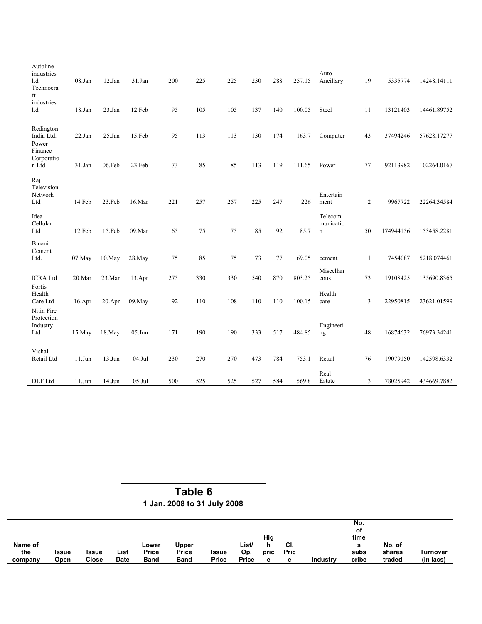| Autoline<br>industries<br>ltd<br>Technocra<br>ft | 08.Jan     | 12.Jan     | 31.Jan    | 200 | 225 | 225 | 230 | 288 | 257.15 | Auto<br>Ancillary                   | 19           | 5335774   | 14248.14111 |
|--------------------------------------------------|------------|------------|-----------|-----|-----|-----|-----|-----|--------|-------------------------------------|--------------|-----------|-------------|
| industries<br>ltd                                | 18.Jan     | $23$ .Jan  | 12.Feb    | 95  | 105 | 105 | 137 | 140 | 100.05 | Steel                               | 11           | 13121403  | 14461.89752 |
| Redington<br>India Ltd.<br>Power<br>Finance      | $22$ . Jan | 25.Jan     | 15.Feb    | 95  | 113 | 113 | 130 | 174 | 163.7  | Computer                            | 43           | 37494246  | 57628.17277 |
| Corporatio<br>n Ltd                              | 31.Jan     | 06.Feb     | 23.Feb    | 73  | 85  | 85  | 113 | 119 | 111.65 | Power                               | 77           | 92113982  | 102264.0167 |
| Raj<br>Television<br>Network<br>Ltd              | 14.Feb     | 23.Feb     | 16.Mar    | 221 | 257 | 257 | 225 | 247 | 226    | Entertain<br>ment                   | 2            | 9967722   | 22264.34584 |
| Idea<br>Cellular<br>Ltd                          | 12.Feb     | 15.Feb     | 09.Mar    | 65  | 75  | 75  | 85  | 92  | 85.7   | Telecom<br>municatio<br>$\mathbf n$ | 50           | 174944156 | 153458.2281 |
| Binani<br>Cement<br>Ltd.                         | 07.May     | $10$ . May | 28. May   | 75  | 85  | 75  | 73  | 77  | 69.05  | cement                              | $\mathbf{1}$ | 7454087   | 5218.074461 |
| <b>ICRA</b> Ltd                                  | 20.Mar     | 23.Mar     | 13.Apr    | 275 | 330 | 330 | 540 | 870 | 803.25 | Miscellan<br>eous                   | 73           | 19108425  | 135690.8365 |
| Fortis<br>Health<br>Care Ltd<br>Nitin Fire       | 16.Apr     | $20.$ Apr  | 09. May   | 92  | 110 | 108 | 110 | 110 | 100.15 | Health<br>care                      | 3            | 22950815  | 23621.01599 |
| Protection<br>Industry<br>Ltd                    | 15.May     | $18$ . May | $05.J$ un | 171 | 190 | 190 | 333 | 517 | 484.85 | Engineeri<br>ng                     | 48           | 16874632  | 76973.34241 |
| Vishal<br>Retail Ltd                             | $11.J$ un  | $13.J$ un  | $04$ .Jul | 230 | 270 | 270 | 473 | 784 | 753.1  | Retail                              | 76           | 19079150  | 142598.6332 |
| DLF Ltd                                          | $11.J$ un  | $14.J$ un  | $05$ .Jul | 500 | 525 | 525 | 527 | 584 | 569.8  | Real<br>Estate                      | 3            | 78025942  | 434669.7882 |

 Table 6 1 Jan. 2008 to 31 July 2008

| Name of |              |       |      | Lower       | Upper       |       | List/        | Hig<br>h | CI.  |          | No.<br>οt<br>time<br>- | No. of |           |
|---------|--------------|-------|------|-------------|-------------|-------|--------------|----------|------|----------|------------------------|--------|-----------|
| the     | <b>Issue</b> | Issue | List | Price       | Price       | Issue | Op.          | pric     | Pric |          | subs                   | shares | Turnover  |
| company | Open         | Close | Date | <b>Band</b> | <b>Band</b> | Price | <b>Price</b> | е        | е    | Industry | cribe                  | traded | (in lacs) |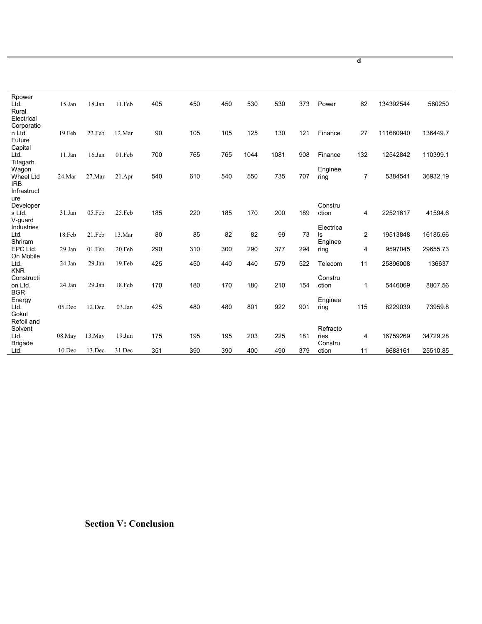| Rpower<br>Ltd.            | $15$ .Jan | 18.Jan     | 11.Feb    | 405 | 450 | 450 | 530  | 530  | 373 | Power           | 62  | 134392544 | 560250   |
|---------------------------|-----------|------------|-----------|-----|-----|-----|------|------|-----|-----------------|-----|-----------|----------|
| Rural<br>Electrical       |           |            |           |     |     |     |      |      |     |                 |     |           |          |
| Corporatio                |           |            |           |     |     |     |      |      |     |                 |     |           |          |
| n Ltd<br>Future           | 19.Feb    | 22.Feb     | 12.Mar    | 90  | 105 | 105 | 125  | 130  | 121 | Finance         | 27  | 111680940 | 136449.7 |
| Capital                   |           |            |           |     |     |     |      |      |     |                 |     |           |          |
| Ltd.                      | 11.Jan    | $16$ . Jan | 01.Feb    | 700 | 765 | 765 | 1044 | 1081 | 908 | Finance         | 132 | 12542842  | 110399.1 |
| Titagarh<br>Wagon         |           |            |           |     |     |     |      |      |     | Enginee         |     |           |          |
| Wheel Ltd                 | 24.Mar    | 27.Mar     | 21.Apr    | 540 | 610 | 540 | 550  | 735  | 707 | ring            | 7   | 5384541   | 36932.19 |
| <b>IRB</b><br>Infrastruct |           |            |           |     |     |     |      |      |     |                 |     |           |          |
| ure                       |           |            |           |     |     |     |      |      |     |                 |     |           |          |
| Developer                 |           |            |           | 185 |     | 185 | 170  | 200  | 189 | Constru         |     | 22521617  |          |
| s Ltd.<br>V-quard         | 31.Jan    | 05.Feb     | 25.Feb    |     | 220 |     |      |      |     | ction           | 4   |           | 41594.6  |
| Industries                |           |            |           |     |     |     |      |      |     | Electrica       |     |           |          |
| Ltd.<br>Shriram           | 18.Feb    | 21.Feb     | 13.Mar    | 80  | 85  | 82  | 82   | 99   | 73  | ls<br>Enginee   | 2   | 19513848  | 16185.66 |
| EPC Ltd.                  | 29.Jan    | 01.Feb     | 20.Feb    | 290 | 310 | 300 | 290  | 377  | 294 | ring            | 4   | 9597045   | 29655.73 |
| On Mobile<br>Ltd.         | 24.Jan    | $29$ . Jan | 19.Feb    | 425 | 450 | 440 | 440  | 579  | 522 | Telecom         | 11  | 25896008  | 136637   |
| <b>KNR</b>                |           |            |           |     |     |     |      |      |     |                 |     |           |          |
| Constructi                |           |            |           |     |     |     |      |      |     | Constru         |     |           |          |
| on Ltd.<br><b>BGR</b>     | 24.Jan    | 29.Jan     | 18.Feb    | 170 | 180 | 170 | 180  | 210  | 154 | ction           | 1   | 5446069   | 8807.56  |
| Energy                    |           |            |           |     |     |     |      |      |     | Enginee         |     |           |          |
| Ltd.<br>Gokul             | 05.Dec    | 12.Dec     | 03.Jan    | 425 | 480 | 480 | 801  | 922  | 901 | ring            | 115 | 8229039   | 73959.8  |
| Refoil and                |           |            |           |     |     |     |      |      |     |                 |     |           |          |
| Solvent                   |           |            |           |     |     |     |      |      |     | Refracto        |     |           |          |
| Ltd.<br><b>Brigade</b>    | 08.May    | 13. May    | $19.J$ un | 175 | 195 | 195 | 203  | 225  | 181 | ries<br>Constru | 4   | 16759269  | 34729.28 |
| Ltd.                      | $10$ .Dec | 13.Dec     | 31.Dec    | 351 | 390 | 390 | 400  | 490  | 379 | ction           | 11  | 6688161   | 25510.85 |

Section V: Conclusion

d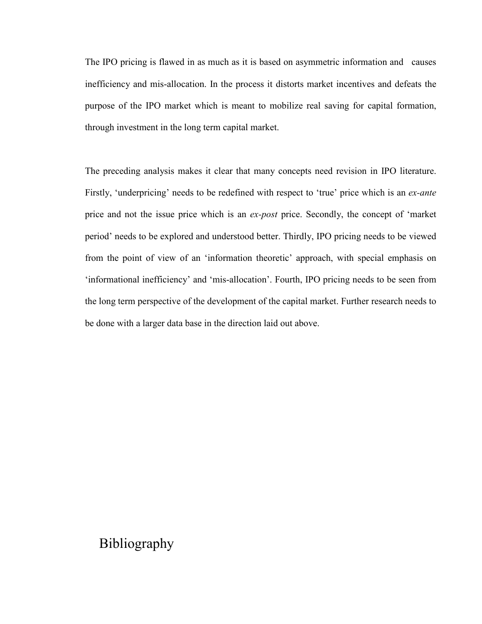The IPO pricing is flawed in as much as it is based on asymmetric information and causes inefficiency and mis-allocation. In the process it distorts market incentives and defeats the purpose of the IPO market which is meant to mobilize real saving for capital formation, through investment in the long term capital market.

The preceding analysis makes it clear that many concepts need revision in IPO literature. Firstly, 'underpricing' needs to be redefined with respect to 'true' price which is an *ex-ante* price and not the issue price which is an ex-post price. Secondly, the concept of 'market period' needs to be explored and understood better. Thirdly, IPO pricing needs to be viewed from the point of view of an 'information theoretic' approach, with special emphasis on 'informational inefficiency' and 'mis-allocation'. Fourth, IPO pricing needs to be seen from the long term perspective of the development of the capital market. Further research needs to be done with a larger data base in the direction laid out above.

# Bibliography